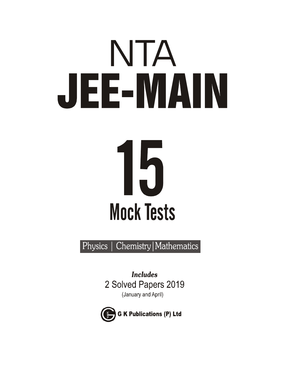# NTA JEE-MAIN 15 **Mock Tests**

Chemistry | Mathematics Physics

> **Includes** 2 Solved Papers 2019 (January and April)

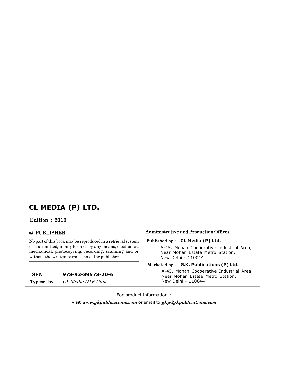## **CL MEDIA (P) LTD.**

## **Edition : 2019**

## **© PUBLI SHER**

**No part of this book may be reproduced in a retrieval system or transmitted, in any form or by any means, electronics, mechanical, photocopying, recording, scanning and or without the written permission of the publisher.**

## **I SBN : 978-93-89573-20-6**

**Typeset by :** *CL Media DTP Unit*

## **Administrative and Production Offices**

#### **Published by : CL Media (P) Ltd.**

A-45, Mohan Cooperative Industrial Area, Near Mohan Estate Metro Station, New Delhi - 110044

## **M arketed by** : **G.K. Publications (P) Ltd.**

A-45, Mohan Cooperative Industrial Area, Near Mohan Estate Metro Station, New Delhi - 110044

For product information : Visit *www.gkpublications.com* or email to *gkp@gkpublications.com* **I SBN-93-87444-84-3**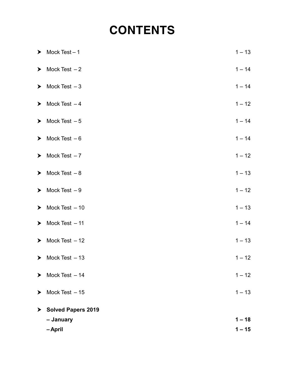# **CONTENTS**

|   | $\triangleright$ Mock Test - 1      | $1 - 13$ |
|---|-------------------------------------|----------|
|   | $\triangleright$ Mock Test - 2      | $1 - 14$ |
|   | $\triangleright$ Mock Test - 3      | $1 - 14$ |
|   | $\triangleright$ Mock Test -4       | $1 - 12$ |
|   | $\triangleright$ Mock Test - 5      | $1 - 14$ |
|   | $\triangleright$ Mock Test - 6      | $1 - 14$ |
|   | $\triangleright$ Mock Test -7       | $1 - 12$ |
|   | $\triangleright$ Mock Test - 8      | $1 - 13$ |
|   | $\blacktriangleright$ Mock Test - 9 | $1 - 12$ |
|   | $\triangleright$ Mock Test - 10     | $1 - 13$ |
|   | $\triangleright$ Mock Test - 11     | $1 - 14$ |
|   | $\triangleright$ Mock Test - 12     | $1 - 13$ |
|   | $\triangleright$ Mock Test $-13$    | $1 - 12$ |
| ➤ | Mock Test - 14                      | $1 - 12$ |
| ➤ | Mock Test - 15                      | $1 - 13$ |
| ➤ | <b>Solved Papers 2019</b>           |          |
|   | - January                           | $1 - 18$ |
|   | - April                             | $1 - 15$ |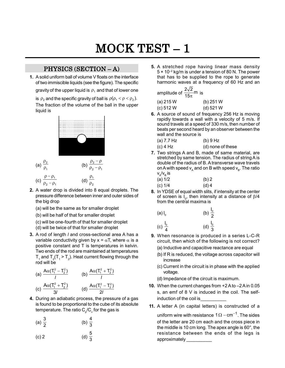# **M OCK TEST – 1**

## **PHYSICS (SECTION – A)**

**1.** A solid uniform ball of volume V floats on the interface of two immiscible liquids (see the figure). The specific gravity of the upper liquid is  $\rho_{\scriptscriptstyle 1}$  and that of lower one

is  $\rho_2$  and the specific gravity of ball is  $\rho(\rho_1 < \rho < \rho_2)$ . The fraction of the volume of the ball in the upper liquid is



- **2.** A water drop is divided into 8 equal droplets. The pressure difference between inner and outer sides of the big drop
	- (a) will be the same as for smaller droplet
	- (b) will be half of that for smaller droplet
	- (c) will be one-fourth of that for smaller droplet
	- (d) will be twice of that for smaller droplet
- **3.** A rod of length *l* and cross-sectional area A has a variable conductivity given by  $x = \alpha T$ , where  $\alpha$  is a positive constant and T is temperatures in kelvin. Two ends of the rod are maintained at temperatures  $T_1$  and  $T_2$ ( $T_1$  >  $T_2$ ). Heat current flowing through the rod will be

(a) 
$$
\frac{A\alpha (T_1^2 - T_2^2)}{I}
$$
 (b)  $\frac{A\alpha (T_1^2 + T_2^2)}{I}$   
(c)  $\frac{A\alpha (T_1^2 + T_2^2)}{3I}$  (d)  $\frac{A\alpha (T_1^2 - T_2^2)}{2I}$ 

**4.** During an adiabatic process, the pressure of a gas is found to be proportional to the cube of its absolute temperature. The ratio  $\mathsf{C}_{\!{}_{\mathrm{p}}}$ / $\mathsf{C}_{\mathrm{v}}$  for the gas is

(a) 
$$
\frac{3}{2}
$$
 (b)  $\frac{4}{3}$ 

(c) 2 (d) 
$$
\frac{5}{3}
$$

**5.** A stretched rope having linear mass density  $5 \times 10^{-2}$  kg/m is under a tension of 80 N. The power that has to be supplied to the rope to generate harmonic waves at a frequency of 60 Hz and an

| mplitude of $\frac{2\sqrt{2}}{15\pi}$ m is |             |
|--------------------------------------------|-------------|
| (a) 215 W                                  | (b) $251 W$ |

| $(u)$ $\leq$ $u$ $\vee$ $v$ | U/ZUIV      |
|-----------------------------|-------------|
| (c) 512 W                   | $(d)$ 521 W |

- **6.** A source of sound of frequency 256 Hz is moving rapidly towards a wall with a velocity of 5 m/s. If sound travels at a speed of 330 m/s, then number of beats per second heard by an observer between the wall and the source is
	- (a) 7.7 Hz (b) 9 Hz
	- (c) 4 Hz (d) none of these
- **7.** Two strings A and B, made of same material, are stretched by same tension. The radius of string A is double of the radius of B. A transverse wave travels on A with speed  $\bm{{\mathsf{v}}}_{_{\mathsf{A}}}$  and on B with speed  $\bm{{\mathsf{v}}}_{_{\mathsf{B}}}$ . The ratio v<sub>A</sub>/v<sub>B</sub>is

(a) 
$$
1/2
$$
 (b) 2  
(c)  $1/4$  (d) 4

**8.** In YDSE of equal width slits, if intensity at the center of screen is  $I_0$ , then intensity at a distance of  $\beta/4$ from the central maxima is

(a) I<sub>0</sub>   
\n(b) 
$$
\frac{I_0}{2}
$$
   
\n(c)  $\frac{I_0}{4}$    
\n(d)  $\frac{I_0}{3}$ 

- **9.** When resonance is produced in a series L-C-R circuit, then which of the following is not correct?
	- (a) Inductive and capacitive reactance are equal
	- (b) If R is reduced, the voltage across capacitor will increase
	- (c) Current in the circuit is in phase with the applied voltage.
	- (d) Impedance of the circuit is maximum.
- **10.** When the current changes from +2 A to –2 A in 0.05 s, an emf of 8 V is induced in the coil. The selfinduction of the coil is
- **11.** A letter A (in capital letters) is constructed of a

uniform wire with resistance 1 $\Omega$  – cm $^{-1}$ . The sides of the letter are 20 cm each and the cross piece in the middle is 10 cm long. The apex angle is 60°, the resistance between the ends of the legs is approximately \_\_\_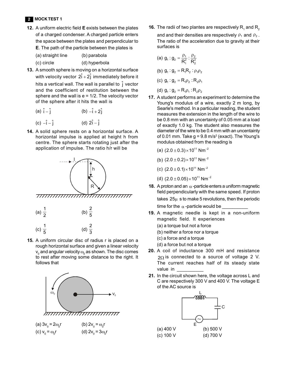**12.** A uniform electric field **E** exists between the plates of a charged condenser. A charged particle enters the space between the plates and perpendicular to **E**. The path of the particle between the plates is

| (a) straight line | (b) parabola  |
|-------------------|---------------|
| (c) circle        | (d) hyperbola |

- **13.** A smooth sphere is moving on a horizontal surface with velocity vector  $2\hat{i} + 2\hat{j}$  immediately before it hits a vertical wall. The wall is parallel to  $\hat{\text{j}}$  vector and the coefficient of restitution between the sphere and the wall is  $e = 1/2$ . The velocity vector of the sphere after it hits the wall is
	- (a)  $\hat{i} \hat{j}$  (b)  $-\hat{i} + 2\hat{j}$
	- (c)  $-\hat{i} \hat{j}$  (d)  $2\hat{i} \hat{j}$
- **14.** A solid sphere rests on a horizontal surface. A horizontal impulse is applied at height h from centre. The sphere starts rotating just after the application of impulse. The ratio h/r will be



**15.** A uniform circular disc of radius r is placed on a rough horizontal surface and given a linear velocity  $\bm{{\mathsf{v}}}_{_{\!0}}$  and angular velocity  $\bm{{\mathsf{\omega}}}_{_{\!0}}$  as shown. The disc comes to rest after moving some distance to the right. It follows that



(a)  $3v_0 = 2\omega_0$ r (b)  $2v_0 = \omega_0 r$ (c)  $v_0 = \omega_0$ r (d)  $2v_0 = 3\omega_0 r$  **16.** The radii of two plantes are respectively  $\mathsf{R}_{_1}$  and  $\mathsf{R}_{_2}$ and and their densities are respectively  $\rho_1$  and  $\rho_2$ . The ratio of the acceleration due to gravity at their surfaces is

(a) 
$$
g_1 : g_2 = \frac{\rho_1}{R_1^2} : \frac{\rho_2}{R_2^2}
$$
  
\n(b)  $g_1 : g_2 = R_1 R_2 : \rho_1 \rho_2$   
\n(c)  $g_1 : g_2 = R_1 \rho_2 : R_2 \rho_1$ 

(d)  $g_1 : g_2 = R_1 \rho_1 : R_2 \rho_2$ 

- **17.** A student performs an experiment to determine the Young's modulus of a wire, exactly 2 m long, by Searle's method. In a particular reading, the student measures the extension in the length of the wire to be 0.8 mm with an uncertainty of 0.05 mm at a load of exactly 1.0 kg. The student also measures the diameter of the wire to be 0.4 mm with an uncentainty of 0.01 mm. Take g = 9.8 m/s² (exact). The Young's modulus obtained from the reading is
	- (a)  $(2.0 \pm 0.3) \times 10^{11}$  Nm<sup>-2</sup>

(b) 
$$
(2.0 \pm 0.2) \times 10^{11} \text{ Nm}^{-2}
$$

- (c)  $(2.0 \pm 0.1) \times 10^{11}$  Nm<sup>-2</sup>
- (d)  $(2.0 \pm 0.05) \times 10^{11}$  Nm<sup>-2</sup>
- **18.** A proton and an  $\alpha$ -particle enters a uniform magnetic field perpendicularly with the same speed. If proton takes  $25\mu$  s to make 5 revolutions, then the periodic time for the -particle would be \_\_\_\_\_\_\_\_\_\_
- **19.** A magnetic needle is kept in a non-uniform magnetic field. It experiences
	- (a) a torque but not a force
	- (b) neither a force nor a torque
	- (c) a force and a torque
	- (d) a force but not a torque
- **20.** A coil of inductance 300 mH and resistance  $2\Omega$  is connected to a source of voltage 2 V. The current reaches half of its steady state value in \_\_\_\_\_\_\_\_\_\_
- **21.** In the circuit shown here, the voltage across L and C are respectively 300 V and 400 V. The voltage E of the AC source is

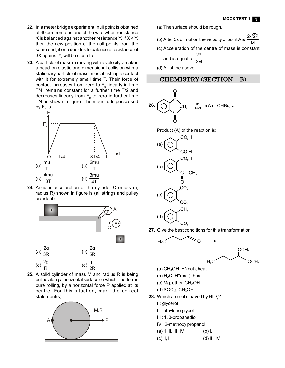- **22.** In a meter bridge experiment, null point is obtained at 40 cm from one end of the wire when resistance X is balanced against another resistance Y. If  $X < Y$ , then the new position of the null points from the same end, if one decides to balance a resistance of 3X against Y, will be close to
- **23.** A particle of mass m moving with a velocity v makes a head-on elastic one dimensional collision with a stationary particle of mass m establishing a contact with it for extremely small time T. Their force of contact increases from zero to  $\mathsf{F}_{_{\textrm{0}}}$  linearly in time T/4, remains constant for a further time T/2 and decreases linearly from  $\mathsf{F}_{\scriptscriptstyle{0}}$  to zero in further time T/4 as shown in figure. The magnitude possessed by  $\mathsf{F}_{_{\scriptscriptstyle{0}}}$  is



**24.** Angular acceleration of the cylinder C (mass m, radius R) shown in figure is (all strings and pulley are ideal):



**25.** A solid cylinder of mass M and radius R is being pulled along a horizontal surface on which it performs pure rolling, by a horizontal force P applied at its centre. For this situation, mark the correct statement(s).



- (a) The surface should be rough.
- (b) After 3s of motion the velocity of point A is  $\frac{2\sqrt{2}P}{\sqrt{2}P}$
- M (c) Acceleration of the centre of mass is constant and is equal to  $\frac{}{\rm 3M}$ 2P
- (d) All of the above

## **CHEMISTRY (SECTION – B)**



Product (A) of the reaction is:



**27.** Give the best conditions for this transformation



- $(a)$  CH<sub>3</sub>OH, H<sup>+</sup>(cat), heat
- $(b)$  H<sub>2</sub>O, H<sup>+</sup>(cat.), heat
- $(c)$  Mg, ether, CH<sub>3</sub>OH
- $(d)$  SOCl<sub>2</sub>, CH<sub>3</sub>OH
- **28.** Which are not cleaved by  $HIO_{_4}$ ?
	- I : glycerol
	- II : ethylene glycol
	- III : 1, 3-propanediol
	- IV : 2-methoxy propanol
	- (a) 1, II, III, IV (b) I, II
	- (c) II, III (d) III, IV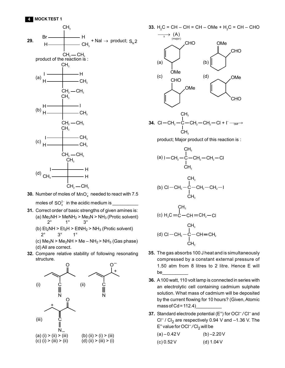



- **31.** Correct order of basic strengths of given amines is: (a)  $Me<sub>2</sub>NH > MeNH<sub>2</sub> > Me<sub>3</sub>N > NH<sub>3</sub>$  (Protic solvent) 2° 1° 3°
	- (b)  $Et<sub>2</sub>NH > Et<sub>3</sub>H > EtNH<sub>2</sub> > NH<sub>3</sub>$  (Protic solvent) 2° 3° 1°
	- (c)  $Me<sub>3</sub>N$  >  $Me<sub>2</sub>NH$  >  $Me$   $NH<sub>2</sub>$  >  $NH<sub>3</sub>$  (Gas phase) (d) All are correct.
- **32.** Compare relative stability of following resonating structure.





(a) l CH<sup>2</sup> C CH<sup>2</sup> CH<sup>3</sup> CH<sup>2</sup> Cl CH<sup>3</sup>

$$
\begin{array}{c}\n & \text{CH}_3 \\
 & \text{I} \\
 & \text{C} \\
 -\text{CH}_2 - \text{C} - \text{CH}_2 - \text{CH}_2 - \text{H}_2 \\
 & \text{CH}_3\n\end{array}
$$

$$
\begin{array}{c}\n\text{CH}_3 \\
\text{I} \\
\text{C} \\
\text{H}_2\text{C} = \text{C} - \text{CH} = \text{CH}_2 - \text{Cl} \\
\text{CH}_3\n\end{array}
$$

(d) CI 
$$
-CH_2 - C - CH = CH_2
$$
  
\n $\begin{array}{c}\n1 \\
1 \\
CH_3\n\end{array}$ 

- **35.** The gas absorbs 100 J heat and is simultaneously compressed by a constant external pressure of 1.50 atm from 8 litres to 2 litre. Hence E will be\_\_\_\_\_\_\_\_\_\_
- **36.** A 100 watt, 110 volt lamp is connected in series with an electrolytic cell containing cadmium sulphate solution. What mass of cadmium will be deposited by the current flowing for 10 hours? (Given, Atomic mass of Cd = 112.4)
- **37.** Standard electrode potential (E°) for OCl<sup>-</sup>/Cl<sup>-</sup> and Cl<sup>–</sup> / Cl<sub>2</sub> are respectively 0.94 V and –1.36 V. The E° value for OCl<sup>-</sup>/Cl<sub>2</sub> will be

| (a) $-0.42$ V | $(b) -2.20V$ |
|---------------|--------------|
| (c) 0.52 V    | (d) $1.04V$  |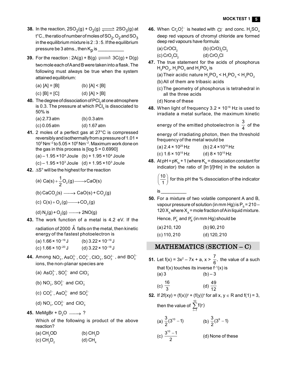- **38.** In the reaction,  $2\text{SO}_2(g) + \text{O}_2(g) \xrightarrow{\longrightarrow} 2\text{SO}_3(g)$  at t°C., the ratio of number of moles of SO $_2$ , O $_2$  and SO $_3$ in the equilibrium mixture is 2 : 3 : 5. If the equilibrium pressure be 3 atms., then K<sub>p</sub> is \_\_\_\_\_\_\_\_\_\_\_
- **39.** For the reaction :  $2A(g) + B(g) \xrightarrow{}$   $3C(g) + D(g)$ two mole each of A and B were taken into a flask. The following must always be true when the system attained equilibrium:

- (c)  $[B] = [C]$  (d)  $[A] > [B]$
- **40.** The degree of dissociation of PCI<sub>5</sub> at one atmosphere is 0.3. The pressure at which PCI $_{\rm s}$  is dissociated to 50% is

| $(a)$ 2.73 atm | $(b) 0.3$ atm  |
|----------------|----------------|
| $(c) 0.05$ atm | $(d) 1.67$ atm |

- **41.** 2 moles of a perfect gas at 27°C is compressed reversibly and isothermally from a pressure of 1.01 × 10<sup>5</sup> Nm–2 to 5.05 × 10<sup>6</sup> Nm–2. Maximum work done on the gas in this process is  $[log 5 = 0.6990]$ 
	- (a) 1.95 × 10<sup>4</sup> Joule (b) + 1.95 × 10<sup>4</sup> Joule
	- (c) 1.95  $\times$ 10<sup>3</sup> Joule (d) + 1.95  $\times$ 10<sup>3</sup> Joule
- **42.**  $\Delta S^{\circ}$  will be the highest for the reaction

(a) 
$$
Ca(s) + \frac{1}{2}O_2(g) \longrightarrow CaO(s)
$$

$$
(b) CaCO3(s) \longrightarrow CaO(s) + CO2(g)
$$

- (c)  $C(s) + O_2(g) \longrightarrow CO_2(g)$
- (d)  $N_2(g)$  + O<sub>2</sub>(g)  $\longrightarrow$  2NO(g)
- **43.** The work function of a metal is 4.2 eV. If the

radiation of 2000  $\,\mathring{\!{A}}\,$  falls on the metal, then kinetic energy of the fastest photoelectron is

| (a) 1.66 × 10 <sup>–19</sup> J | (b) $3.22 \times 10^{-19}$ J |
|--------------------------------|------------------------------|
| (c) 1.66 × 10 <sup>–20</sup> J | (d) $3.22 \times 10^{-18}$ J |

- **44.** Among NO<sub>3</sub>, AsO $_3^{3-}$ , CO $_3^{2-}$ , ClO<sub>3</sub>, SO $_3^{2-}$ , and BO $_3^{3-}$ ions, the non-planar species are
	- (a) AsO $_3^{3-}$ , SO $_3^{2-}$  and ClO $_3^-$
	- (b) NO<sub>3</sub>, SO $_3^{2-}$  and ClO<sub>3</sub>
	- (c) CO $_3^{2-}$ , AsO $_3^{3-}$  and SO $_3^{2-}$
	- (d) NO<sub>3</sub>, CO<sub>3</sub><sup>-</sup> and ClO<sub>3</sub>
- 45. MeMgBr +  $D_2O \longrightarrow ?$

Which of the following is product of the above reaction?

| (a) $CH3OD$                          | (b) $CH_3D$ |
|--------------------------------------|-------------|
| $(c)$ CH <sub>2</sub> D <sub>2</sub> | (d) $CH4$   |

**46.** When  $\text{Cr}_2\text{O}_7^{2-}$  is heated with  $\text{Cl}^-$  and conc.  $\text{H}_2\text{SO}_4$ deep red vapours of chromyl chloride are formed deep red vapours have formula:

| (a) CrOCl <sub>2</sub> | (b) $(CrO)_{2}Cl_{2}$ |
|------------------------|-----------------------|
| (c) $CrO2Cl2$          | (d) $CrO3Cl$          |

- **47.** The true statement for the acids of phosphorus  ${\sf H}_{\sf_{3}}$ PO $_{2}$ ,  ${\sf H}_{\sf_{3}}$ PO $_{3}$  and  ${\sf H}_{\sf_{3}}$ PO $_{4}$  is
	- (a) Their acidic nature  $H_3PO_4$  <  $H_3PO_3$  <  $H_3PO_2$
	- (b)All of them are tribasic acids
	- (c)The geometry of phosphorus is tetrahedral in all the three acids
	- (d) None of these

is \_\_\_\_\_\_\_\_\_\_

**48.** When light of frequency 3.2 × 10<sup>16</sup> Hz is used to irradiate a metal surface, the maximum kinetic

energy of the emitted photoelectron is  $\frac{3}{4}$  $\frac{1}{4}$  of the

energy of irradiating photon, then the threshold frequency of the metal would be

(a)  $2.4 \times 10^{25}$  Hz (b)  $2.4 \times 10^{16}$  Hz (c)  $1.6 \times 10^{15}$  Hz (d)  $8 \times 10^{15}$  Hz

**48.** At pH =  $pK_{in}$  + 1 (where  $K_{in}$  = dissociation constant for indicator) the ratio of [ln– ]/[Hln] in the solution is

10  $\left(\frac{10}{1}\right)$  for this pH the % dissociation of the indicator

**50.** For a mixture of two volatile component A and B, vapour pressure of solution (in mm Hg) is P $_{\rm s}$  = 210 – 120  $X_{\text{A}}$  where  $X_{\text{A}}$  = mole fraction of A in liquid mixture.

Hence,  $\mathsf{P}_{\mathsf{A}}^{\,\circ}$  and  $\mathsf{P}_{\mathsf{B}}^{\,\circ}$  (in mm Hg) should be

| $(a)$ 210, 120 | (b) 90, 210    |
|----------------|----------------|
| $(c)$ 110, 210 | $(d)$ 120, 210 |

## **MATHEMATICS (SECTION – C)**

- **51.** Let f(x) =  $3x^2 7x + a$ ,  $x > \frac{7}{6}$ , the value of a such that  $f(x)$  touches its inverse  $f^{-1}(x)$  is  $(a) 3$  (b) – 3 (c)  $\frac{16}{2}$ 3 (d)  $\frac{49}{10}$ 12 **52.** If 2f(xy) =  $(f(x))^y + (f(y))^x$  for all x,  $y \in R$  and  $f(1) = 3$ , then the value of  $\sum_{ }^{10}$  f(r)  $r = 1$  $\overline{a}$ (a)  $\frac{3}{2}(3^{10}-1)$  (b)  $\frac{3}{2}(3^9-1)$ 
	- (c)  $\frac{3^{10}-1}{2}$ 2 -

(d) None of these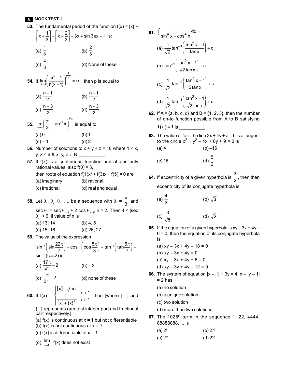## **6 MOCK TEST 1**

- **53.** The fundamental period of the function  $f(x) = [x] +$  $x + \frac{1}{3} + \left[x + \frac{2}{3}\right] - 3x + \sin 3\pi x - 1$  $\left[x+\frac{1}{3}\right]+\left[x+\frac{2}{3}\right]-3x+\sin 3\pi x-1$  is: (a)  $\frac{1}{2}$ 3 (b)  $\frac{2}{5}$ 3 (c)  $\frac{4}{2}$ 3 (d) None of these **54.** If  $n - 1$   $\frac{1}{x-1}$   $\frac{1}{x-2}$  $\lim_{x\to 1} \left( \frac{x^{n} - 1}{n(x - 1)} \right)^{x-1} = e^{x}$ - $\rightarrow$  $\left(\frac{x^{n}-1}{n(x-1)}\right)^{x-1}$  =  $e^{p}$ , then p is equal to (a)  $\frac{n-1}{2}$ 2  $\frac{-1}{2}$  (b)  $\frac{n+1}{2}$ 2  $^{+}$ (c)  $\frac{n+3}{2}$ 2  $\frac{+3}{2}$  (d)  $\frac{n-3}{2}$ 2  $\overline{a}$ **55.** 1/ x 1  $\lim_{x\to\infty} \left(\frac{\kappa}{2} - \tan^{-1} x\right)$ f  $\rightarrow \infty$  $\left(\frac{\pi}{2} - \tan^{-1} x\right)^{1/2}$  is equal to  $(a) 0$  (b) 1  $(c) - 1$  (d) 2 **56.** Number of solutions to  $x + y + z = 10$  where  $1 \le x$ ,
- y,  $z \le 6$  & x, y,  $z \in N$
- **57.** If f(x) is a continuous function and attains only rational values, also  $f(0) = 3$ , then roots of equation  $f(1)x^2 + f(3)x + f(5) = 0$  are (a) imaginary (b) rational

(c) irrational (d) real and equal

**58.** Let  $\theta_1$ ,  $\theta_2$ ,  $\theta_3$ , .... be a sequence with  $\theta_1 = \frac{\pi}{3}$  and sec  $\theta_{_{\mathsf{N}}}$  = sec  $\theta_{_{\mathsf{N-1}}}$  + 2 cos  $\theta_{_{\mathsf{N-1}}}$ , n  $\geq$  2. Then 4 < |sec  $\theta_{\sf n}$ | < 6, if value of n is (a) 13, 14 (b) 4, 5

- (c) 15, 16 (d) 26, 27
- **59.** The value of the expression

$$
\sin^{-1}\left(\sin\frac{22\pi}{7}\right) + \cos^{-1}\left(\cos\frac{5\pi}{3}\right) + \tan^{-1}\left(\tan\frac{5\pi}{7}\right) + \sin^{-1}\left(\cos 2\right) \text{ is}
$$
\n(a)  $\frac{17\pi}{42} - 2$  (b) - 2  
\n(c)  $\frac{-\pi}{21} - 2$  (d) none of these

**60.** If 
$$
f(x) = \begin{cases} [x] + \sqrt{x} \\ \frac{1}{[x] + \{x\}^2} & x \ge 1 \end{cases}
$$
; then {where [ . ] and

- { . } represents greatest integer part and fractional part respectively.]
- (a)  $f(x)$  is continuous at  $x = 1$  but not differentiable
- (b)  $f(x)$  is not continuous at  $x = 1$
- (c)  $f(x)$  is differentiable at  $x = 1$
- (d)  $\frac{1}{x}$ lim  $\frac{1}{x^{2}}$  f(x) does not exist

61. 
$$
\int \frac{1}{\sin^4 x + \cos^4 x} dx =
$$
\n(a) 
$$
\frac{1}{\sqrt{2}} \tan^{-1} \left( \frac{\tan^2 x - 1}{\tan x} \right) + c
$$
\n(b) 
$$
\tan^{-1} \left( \frac{\tan^2 x - 1}{\sqrt{2} \tan x} \right) + c
$$
\n(c) 
$$
\frac{1}{\sqrt{2}} \tan^{-1} \left( \frac{\tan^2 x - 1}{2 \tan x} \right) + c
$$
\n(d) 
$$
\frac{1}{\sqrt{2}} \tan^{-1} \left( \frac{\tan^2 x - 1}{\sqrt{2} \tan x} \right) + c
$$

- **62.** If  $A = \{a, b, c, d\}$  and  $B = \{1, 2, 3\}$ , then the number of on-to function possible from A to B satisfying f a 1 is \_\_\_\_\_\_\_\_\_\_
- **63.** The value of 'a' if the line  $3x + 4y + a = 0$  is a tangent to the circle  $x^2 + y^2 - 4x + 6y + 9 = 0$  is
	- $(a) 4$  (b) –16

(c) 16 (d) 
$$
\frac{5}{2}
$$

**64.** If eccentricity of a given hyperbola is  $\frac{3}{2}$  $\frac{1}{2}$ , then then eccentricity of its conjugate hyperbola is

(a) 
$$
\frac{4}{3}
$$
 (b)  $\sqrt{3}$ 

(c) 
$$
\frac{3}{\sqrt{5}}
$$
 (d)  $\sqrt{2}$ 

- **65.** If the equation of a given hyperbola is  $xy 3x + 4y 6 = 0$ , then the equation of its conjugate hyperbola is
	- (a)  $xy 3x + 4y 18 = 0$
	- (b)  $xy 3x + 4y = 0$
	- (c)  $xy 3x + 4y + 6 = 0$
	- (d)  $xy 3y + 4y 12 = 0$
- **66.** The system of equation  $|x 1| + 3y = 4$ ,  $x |y 1|$  $= 2$  has
	- (a) no solution
	- (b) a unique solution
	- (c) two solution
	- (d) more than two solutions
- **67.** The 1025<sup>th</sup> term in the sequence 1, 22, 4444, 88888888, ... is

(a) 
$$
2^9
$$
 (b)  $2^{10}$   
(c)  $2^{11}$  (d)  $2^{12}$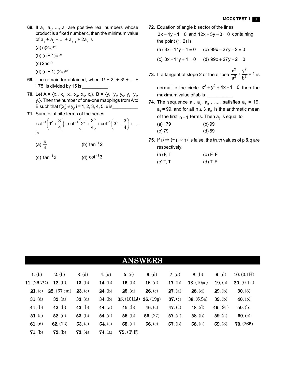- **68.** If  $a_1$ ,  $a_2$ , ...,  $a_n$  are positive real numbers whose product is a fixed number c, then the minimum value of  $a_1 + a_2 + ... + a_{n-1} + 2a_n$  is
	- (a)  $n(2c)^{1/n}$
	- (b)  $(n + 1)c^{1/n}$
	- $(c)$  2nc $1/n$
	- (d)  $(n + 1)$  (2c)<sup> $1/n$ </sup>
- **69.** The remainder obtained, when 1! + 2! + 3! + ... + 175! is divided by 15 is \_\_\_\_\_\_
- **70.** Let A = { $x_1$ ,  $x_2$ ,  $x_3$ ,  $x_4$ ,  $x_5$ ,  $x_6$ }, B = { $y_1$ ,  $y_2$ ,  $y_3$ ,  $y_4$ ,  $y_5$ ,  $\mathsf{y}_{\mathsf{6}}$ }. Then the number of one-one mappings from A to B such that f(x<sub>i</sub>)  $\neq$  y<sub>i</sub>, i = 1, 2, 3, 4, 5, 6 is\_\_\_\_\_\_\_\_\_\_\_\_
- **71.** Sum to infinite terms of the series

$$
\cot^{-1}\left(1^2+\frac{3}{4}\right)+\cot^{-1}\left(2^2+\frac{3}{4}\right)+\cot^{-1}\left(3^2+\frac{3}{4}\right)+\dots
$$
  
is

(a) 
$$
\frac{\pi}{4}
$$
 (b)  $\tan^{-1} 2$ 

(c)  $tan^{-1}3$ tan $^{-1}$ 3 (d) cot $^{-1}$ 3

- **72.** Equation of angle bisector of the lines  $3x - 4y + 1 = 0$  and  $12x + 5y - 3 = 0$  containing the point (1, 2) is (a)  $3x + 11y - 4 = 0$  (b)  $99x - 27y - 2 = 0$ 
	- (c)  $3x + 11y + 4 = 0$  (d)  $99x + 27y 2 = 0$
- **73.** If a tangent of slope 2 of the ellipse  $\frac{1}{2} + \frac{1}{12} =$ 2, 2  $\frac{x^2}{a^2} + \frac{y^2}{b^2} = 1$  $\frac{a^2}{a^2} + \frac{b^2}{b^2} = 1$  is

normal to the circle  $x^2 + y^2 + 4x + 1 = 0$  then the maximum value of ab is \_\_\_\_\_\_\_\_\_

- **74.** The sequence  $a_1$ ,  $a_2$ ,  $a_3$  , ..... satisfies  $a_1$  = 19,  ${\sf a}_{_{\rm 9}}$  = 99, and for all n  $\geq$  3,  ${\sf a}_{_{\rm n}}$  is the arithmetic mean of the first  $_{\sf n-1}$  terms. Then  ${\sf a}_{_2}$  is equal to (a) 179 (b) 99 (c) 79 (d) 59
- **75.** If  $p \Rightarrow (\sim p \lor q)$  is false, the truth values of p & q are respectively:

| $(a)$ F, T | $(b)$ F, F |
|------------|------------|
| $(c)$ T, T | $(d)$ T, F |

| <b>ANSWERS</b>     |             |           |                |             |           |           |                  |           |              |  |
|--------------------|-------------|-----------|----------------|-------------|-----------|-----------|------------------|-----------|--------------|--|
| $1.$ (b)           | $2.$ (b)    | 3. (d)    | 4. (a)         | 5. (c)      | 6. $(d)$  | 7. (a)    | $8.$ (b)         | $9.$ (d)  | 10. $(0.1H)$ |  |
| 11. $(26.7\Omega)$ | $12. (b)$   | 13. $(b)$ | 14. $(b)$      | 15. $(b)$   | 16. $(d)$ | 17. $(b)$ | 18. $(10 \mu s)$ | 19. $(c)$ | 20. (0.1 s)  |  |
| 21. (c)            | 22. (67 cm) | 23. (c)   | $24.$ (b)      | 25. (d)     | 26. (c)   | 27. (a)   | $28.$ (d)        | 29. (b)   | 30. (3)      |  |
| 31. (d)            | 32. (a)     | 33. (d)   | $34.$ (b)      | 35. (1011J) | 36. (19g) | 37. (c)   | 38. (6.94)       | 39. (b)   | 40. $(b)$    |  |
| 41. $(b)$          | $42.$ (b)   | 43. (b)   | 44. $(a)$      | $45.$ (b)   | 46. $(c)$ | 47. $(c)$ | 48. $(d)$        | 49. (91)  | $50.$ (b)    |  |
| 51. (c)            | 52. (a)     | 53. (b)   | 54. (a)        | $55.$ (b)   | 56. (27)  | 57. (a)   | $58.$ (b)        | 59. (a)   | 60. (c)      |  |
| $61.$ (d)          | 62. (12)    | 63. (c)   | 64. $(c)$      | 65. (a)     | 66. $(c)$ | $67.$ (b) | 68. (a)          | 69. (3)   | 70. (265)    |  |
| 71. (b)            | 72. (b)     | 73. (4)   | <b>74.</b> (a) | 75. (T, F)  |           |           |                  |           |              |  |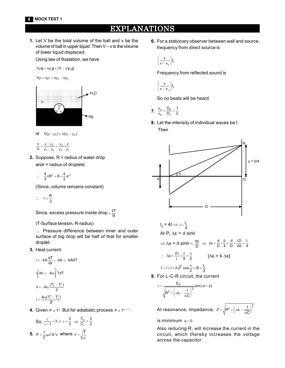## **EXPLANATI ONS**

**1.** Let V be the total volume of the ball and v be the volume of ball in upper liquid. Then V – v is the volume of lower liquid displaced.

Using law of floatation, we have

 $V \rho g = v \rho_1 g + (V - v) \rho_2 g$ 

$$
V\rho=v\rho_1+v\rho_2-v\rho_2
$$



- or  $V(\rho \rho_2) = V(\rho_1 \rho_2)$
- $2 P_2$ 1 P<sub>2</sub> P<sub>2</sub> P<sub>1</sub> v V  $= \frac{\rho - \rho_2}{\rho_1 - \rho_2} = \frac{\rho_2 - \rho_1}{\rho_2 - \rho_1}$
- **2.** Suppose, R = radius of water drop andr = radius of droplets
	- $\therefore \quad \frac{4}{3}\pi R^3 = 8 \times \frac{4}{3}\pi r^3$

(Since, volume remains constant)

$$
\therefore \quad r = \frac{R}{2}
$$

Since, excess pressure inside drop =  $\frac{2T}{R}$ 

(T-Surface tension, R-radius)

∴ Pressure difference between inner and outer surface of big drop will be half of that for smaller droplet.

**3.** Heat current:

$$
i = -kA \frac{dT}{dx}, \quad idx = -kA dT
$$
  
\n
$$
i \int_0^1 dx = -A\alpha \int_{\tau_1}^{\tau_2} TdT
$$
  
\n
$$
iI = -A\alpha \frac{(T_2^2 - T_1^2)}{2}
$$
  
\n
$$
i = \frac{A\alpha (T_1^2 - T_2^2)}{2l}
$$

**4.** Given  $P \propto T^3$ . But for adiabatic process  $P \propto T^{\gamma/\gamma - 1}$ .

So, 
$$
\frac{\gamma}{\gamma - 1} = 3 \Rightarrow \gamma = \frac{3}{2} \Rightarrow \frac{C_p}{C_v} = \frac{3}{2}
$$
  
5.  $P = \frac{1}{2} \mu \omega^2 A^2 v$  where  $v = \sqrt{\frac{1}{\mu}}$ 

**6.** For a stationary observer between wall and source, frequency from direct source is

$$
\left(\frac{v}{v-v_s}\right)\!f_0
$$

Frequency from reflected sound is

$$
\Bigg(\frac{v}{v-v_s}\Bigg)f_c
$$

0

So no beats will be heard.

**7.** 
$$
\frac{v_{A}}{v_{B}} = \frac{D_{B}}{D_{A}} = \frac{1}{2}
$$

**8.** Let the intensity of individual waves be I.

Then



$$
I_0 = 4I \Rightarrow I = \frac{I_0}{4}
$$
  
At P,  $\Delta x = d \sin \theta$   
 $\Rightarrow \Delta x = d \sin \theta = \frac{dy}{D} \Rightarrow \Delta x = \frac{d}{D} \times \frac{\beta}{4} = \frac{d}{D} \times \frac{\lambda D}{4d} = \frac{\lambda}{4}$   
 $\therefore \Delta \phi = \frac{2\pi}{\lambda} \times \frac{\pi}{4} = \frac{\pi}{2}$  [ $\Delta \phi = k \Delta x$ ]  
 $I' = I + I + 2\sqrt{I^2} \cos \frac{\pi}{2} = 2I = \frac{I_0}{2}$ 

**9.** For L-C-R circuit, the current

$$
i = \frac{E_0}{\sqrt{R^2 + \left(\omega L - \frac{1}{\omega C}\right)^2}} \sin(\omega t + \phi)
$$

At resonance, impedance,  $Z = \sqrt{R^2 + (\omega L - \frac{1}{\omega C})^2}$  $=\sqrt{R^2+\left(\omega L-\frac{1}{\omega C}\right)^2}$ 

is minimum  $\phi = 0$ 

Also reducing R, will increase the current in the circuit, which thereby increases the voltage across the capacitor.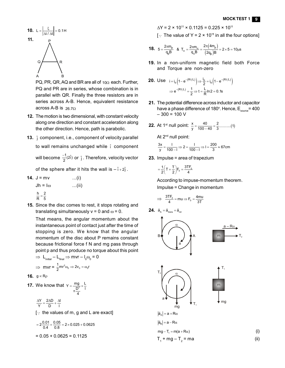

PQ, PR, QR, AQ and BR are all of  $10\Omega$  each. Further, PQ and PR are in series, whose combination is in parallel with QR. Finally the three resistors are in series across A-B. Hence, equivalent resistance across A-B is  $26.7<sub>\Omega</sub>$ 

- **12.** The motion is two dimensional, with constant velocity along one direction and constant acceleration along the other direction. Hence, path is parabolic.
- **13.** j component, i.e., component of velocity parallel to wall remains unchanged while î component will become  $\frac{-1}{2}$ (2î)  $\frac{-1}{2}$ (2î) or  $\hat{j}$ . Therefore, velocity vector

of the sphere after it hits the wall is  $-\hat{i}+2\hat{j}$ .

- **14.**  $J = mv$  ...(i)  $Jh = I\omega$  ...(ii) h 2  $\frac{11}{R} = \frac{2}{5}$
- **15.** Since the disc comes to rest, it stops rotating and translating simultaneously  $v = 0$  and  $\omega = 0$ .

That means, the angular momentum about the instantaneous point of contact just after the time of stopping is zero. We know that the angular momentum of the disc about P remains constant because frictional force f N and mg pass through point p and thus produce no torque about this point

$$
\Rightarrow L_{initial} - L_{final} \Rightarrow mvr - I_0 \omega_0 = 0
$$
  

$$
\Rightarrow mvr = \frac{1}{2} mr^2 \omega_0 \Rightarrow 2v_0 = \omega_0 r
$$

**16.**  $g \propto R\rho$ 

**17.** We know that  $Y = \frac{mg}{D^2} \times \frac{L}{L}$ 4  $=\frac{mg}{2} \times$  $\pi$ 

$$
\frac{\Delta Y}{Y} = \frac{2\Delta D}{D} + \frac{\Delta I}{I}
$$

 $[\cdot]$ : the values of m, g and L are exact]

$$
=2\frac{0.01}{0.4} + \frac{0.05}{0.8} = 2 \times 0.025 + 0.0625
$$

$$
= 0.05 + 0.0625 = 0.1125
$$

$$
\Delta Y = 2 \times 10^{11} \times 0.1125 = 0.225 \times 10^{11}
$$

[ $\therefore$  The value of Y = 2 × 10<sup>11</sup> in all the four options]

**18.** 
$$
5 = \frac{2\pi m_p}{q_p B}
$$
 &  $T_\alpha = \frac{2\pi m_\alpha}{q_\alpha B} = \frac{2\pi (4m_p)}{(2q_p)B} = 2 \times 5 = 10 \mu s$ 

**19.** In a non-uniform magnetic field both Force and Torque are non-zero

**20.** Use 
$$
i = i_0 \left( 1 - e^{-(Rt/L)} \right) \Rightarrow \frac{i_0}{2} = i_0 \left( 1 - e^{-(Rt/L)} \right)
$$
  

$$
\Rightarrow e^{-(Rt/L)} = \frac{1}{2} \Rightarrow t = \frac{L}{R} \ln 2 = 0.1s
$$

- **21.** The potential difference across inductor and capacitor have a phase difference of 180°. Hence,  $\mathsf{E}_{_{\sf source}}$ = 400  $-300 = 100 V$
- **22.** At 1<sup>st</sup> null point:  $\frac{x}{y} = \frac{40}{100 40} = \frac{2}{3}$ ...........(1)

At 2<sup>nd</sup> null point:

$$
\frac{3x}{y} = \frac{1}{100 - 1} \Rightarrow 2 = \frac{1}{100 - 1} \Rightarrow 1 = \frac{200}{3} \approx 67 \text{cm}
$$

**23.** Impulse = area of trapezium

$$
=\frac{1}{2}\left(T+\frac{T}{2}\right)F_0=\frac{3TF_0}{4}
$$

According to impuse-momentum theorem. Impulse = Change in momentum

$$
\Rightarrow \frac{3TF_0}{4} = mu \Rightarrow F_0 = \frac{4mu}{3T}
$$

**24.**  $\vec{a}_A = \vec{a}_{\text{trans}} + \vec{a}_{\text{rot}}$ 







(i)

$$
|\vec{a}_A| = a + R\alpha
$$
  

$$
|\vec{a}_B| = a - R\alpha
$$
  

$$
mg - T_1 = m(a + R\alpha)
$$

 $T_1 + mg - T_2 = ma$  (ii)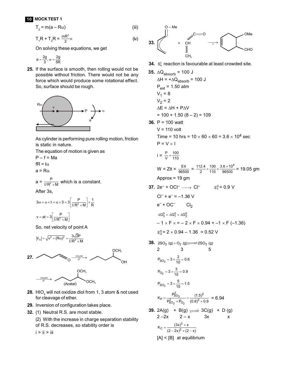## **10 MOCK TEST 1**

$$
T_2 = m(a - R\alpha)
$$
 (iii)

$$
T_1R + T_2R = \frac{mR^2}{2}\alpha
$$
 (iv)

On solving these equations, we get

$$
a=\frac{2g}{3},\,\alpha=\frac{2g}{5R}
$$

**25.** If the surface is smooth, then rolling would not be possible without friction. There would not be any force which would produce some rotational effect. So, surface should be rough.



As cylinder is performing pure rolling motion, friction is static in nature.

The equation of motion is given as  
\n
$$
P - f = Ma
$$
  
\n $fR = I\alpha$   
\n $a = R\alpha$   
\n $a = \frac{P}{I/R^2 + M}$  which is a constant.  
\nAfter 3s,  
\n $3\omega = \alpha \times t = \alpha \times 3 = 3 \left[ \frac{P}{I/R^2 + M} \right] \times \frac{1}{R}$   
\n $v = at = 3 \left[ \frac{P}{I/R^2 + M} \right]$ 

So, net velocity of point A

$$
|\vec{v}_A| = \sqrt{v^2 + (R\omega)^2} = \frac{3\sqrt{2}P}{1/R^2 + M}
$$



OCH<sub>3</sub>



- **28.** HIO $_4$  will not oxidize diol from 1, 3 atom & not used for cleavage of ether.
- **29.** Inversion of configuration takes place.
- **32.** (1) Neutral R.S. are most stable.
	- (2) With the increase in charge separation stability of R.S. decreases, so stability order is

 $i > ii > iii$ 



**34.**  $S_N^2$  reaction is favourable at least crowded site.

35. 
$$
\triangle Q_{\text{absorb}} = 100 \text{ J}
$$
  
\n $\triangle H = +\triangle Q_{\text{absorb}} = 100 \text{ J}$   
\n $P_{\text{ext}} = 1.50 \text{ atm}$   
\n $V_1 = 8$   
\n $V_2 = 2$   
\n $\triangle E = \triangle H + P\triangle V$   
\n $= 100 + 1.50 (8 - 2) = 109$   
\n36. P = 100 watt  
\n $V = 110 \text{ volt}$   
\nTime = 10 hrs =  $10 \times 60 \times 60 = 3.6 \times 10^4 \text{ sec}$   
\n $P = V \times I$   
\n $i = \frac{P}{V} = \frac{100}{110}$   
\n $W = Zit = \frac{Et}{96500} = \frac{112.4}{2} \times \frac{100}{110} \times \frac{3.6 \times 10^4}{96500} = 19.05 \text{ gm}$   
\nApprox = 19 gm  
\n37.  $2e^- + OCl^- \longrightarrow Cl^-$   
\n $E_1^0 = 0.9 V$   
\n $Cl^- + e^- = -1.36 V$   
\n $e^- + OCl^-$   
\n $\triangle G_3^0 = \triangle G_1^0 + \triangle G_2^0$   
\n $-1 \times F \times = -2 \times F \times 0.94 + -1 \times F (-1.36)$   
\n $E_3^0 = 2 \times 0.94 - 1.36 = 0.52 V$   
\n38.  $2SO_2(g) + O_2(g) \implies 2SO_3(g)$   
\n2 3 5  
\n $P_{SO_2} = 3 \times \frac{2}{10} = 0.6$   
\n $P_{O_2} = 3 \times \frac{3}{10} = 0.9$ 

$$
P_{SO_3} = 3 \times \frac{5}{10} = 1.5
$$

 $\overline{\mathrm{o}}_{2}$ 

$$
K_{\rm p} = \frac{P_{\rm SO_3}^2}{P_{\rm SO_2}^2 \times P_{\rm O_2}} = \frac{(1.5)^2}{(0.6)^2 \times 0.9} = 6.94
$$

39. 2A(g) + B(g) 
$$
\longrightarrow
$$
 3C(g) + D(g)  
2-2x 2-x 3x x  

$$
K_C = \frac{(3x)^3 \times x}{(2-2x)^2 \times (2-x)}
$$
[A] < [B] at equilibrium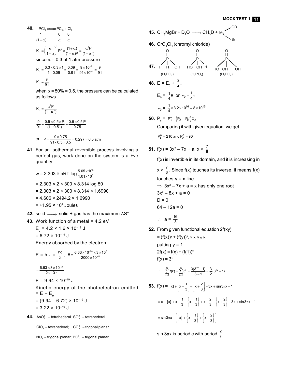40. 
$$
PCI_{5} \xrightarrow{\text{PCI}_{3}} + CI_{2}
$$
\n1 0 0\n
$$
(1 - \alpha) \alpha \alpha
$$
\n
$$
K_{p} = \left(\frac{\alpha}{1 + \alpha}\right)^{2} P^{2} \times \frac{(1 + \alpha)}{(1 - \alpha)P} = \frac{\alpha^{2}P}{(1 - \alpha^{2})}
$$
\nsince  $\alpha = 0.3$  at 1 atm pressure\n
$$
K_{p} = \frac{0.3 \times 0.3 \times 1}{1 - 0.09} = \frac{0.09}{0.91} = \frac{9 \times 10^{-2}}{91 \times 10^{-2}} \approx \frac{9}{91}
$$
\n
$$
K_{p} = \frac{9}{91}
$$

when  $\alpha$  = 50% = 0.5, the pressure can be calculated as follows

$$
K_p = \frac{\alpha^2 P}{(1 - \alpha^2)}
$$
  

$$
\frac{9}{91} = \frac{0.5 \times 0.5 \times P}{(1 - 0.5^2)} = \frac{0.5 \times 0.5 P}{0.75}
$$
  
or 
$$
P = \frac{9 \times 0.75}{91 \times 0.5 \times 0.5} = 0.297 = 0.3 \text{ atm}
$$

**41.** For an isothermal reversible process involving a perfect gas, work done on the system is a +ve quantity.

$$
w = 2.303 \times nRT \log \frac{5.05 \times 10^6}{1.01 \times 10^5}
$$
  
= 2.303 \times 2 \times 300 \times 8.314 \log 50  
= 2.303 \times 2 \times 300 \times 8.314 \times 1.6990  
= 4.606 \times 2494.2 \times 1.6990  
= +1.95 \times 10^4 Joules

- **42.** solid  $\longrightarrow$  solid + gas has the maximum  $\Delta S^{\circ}$ .
- **43.** Work function of a metal = 4.2 eV

$$
E_0 = 4.2 \times 1.6 \times 10^{-19} \text{ J}
$$

$$
= 6.72 \times 10^{-19} \text{ J}
$$

Energy absorbed by the electron:

$$
E = h_v = \frac{hc}{\lambda}, \quad E = \frac{6.63 \times 10^{-34} \times 3 \times 10^8}{2000 \times 10^{-10}}
$$
\n
$$
= \frac{6.63 \times 3 \times 10^{-28}}{2 \times 10^{-7}}
$$
\n
$$
E = 9.94 \times 10^{-19} \text{ J}
$$
\n
$$
\text{Kinetic energy of the photoelectron emitted}
$$
\n
$$
= E - E_0
$$
\n
$$
= (9.94 - 6.72) \times 10^{-19} \text{ J}
$$
\n
$$
= 3.22 \times 10^{-19} \text{ J}
$$
\n44. AsO<sub>3</sub><sup>2</sup> - tetrahederal; SO<sub>3</sub><sup>2</sup> - tetrahederal

 $ClO<sub>3</sub><sup>-</sup> tetrahederal;  $CO<sub>3</sub><sup>2-</sup> -$ trigonal planar$  $NO_3^-$  – trigonal planar;  $BO_3^{3-}$  – trigonal planar

45. CH<sub>3</sub>MgBr + D<sub>2</sub>O 
$$
\longrightarrow
$$
 CH<sub>3</sub>D + Mg  
\n46.  $CO_2Cl_2$  (chromyl chloride)  
\n $\begin{array}{ccc}\n0 & 0 & 0 \\
0 & 1 & 0 \\
0 & 1 & 0 \\
0 & 1 & 0 \\
0 & 1 & 0\n\end{array}$   
\n47. H<sup>1</sup>OH  $HO$ OH  $H_1PO_3$ )  $H_2PO_4$   
\n48. E = E<sub>0</sub> +  $\frac{3}{4}$ E  
\n $E_0 = \frac{1}{4}$ E or  $v_0 = \frac{1}{4}v$   
\n $v_0 = \frac{1}{4} \times 3.2 \times 10^{16} = 8 \times 10^{15}$   
\n50. P<sub>s</sub> = P<sub>B</sub><sup>o</sup> + (P<sub>A</sub><sup>o</sup> - P<sub>B</sub><sup>o</sup>)X<sub>A</sub>  
\nComparing it with given equation, we get  
\nP<sub>B</sub><sup>o</sup> = 210 and P<sub>A</sub><sup>o</sup> = 90  
\n51. f(x) = 3x<sup>2</sup> – 7x + a, x >  $\frac{7}{6}$   
\n $f(x)$  is invertible in its domain, and it is increasing in  
\n $x > \frac{7}{6}$ . Since f(x) touches its inverse, it means f(x)  
\ntouches y = x line.  
\n $\Rightarrow 3x^2 - 7x + a = x$  has only one root  
\n $3x^2 - 8x + a = 0$   
\nD = 0  
\n64 – 12a = 0  
\n $\therefore a = \frac{16}{3}$   
\n52. From given functional equation 2f(xy)  
\n= (f(x))^y + (f(y))^x,  $\forall x, y \in R$   
\nputting y = 1  
\n2f(x) = f(x) + (f(1))^x  
\n $f(x) = 3^x$ 

$$
\therefore \qquad \sum_{r=1}^{10} f(r) = \sum_{r=1}^{10} 3^r = \frac{3(3^{10} - 1)}{3 - 1} = \frac{3}{2} (3^{10} - 1)
$$

**53.** 
$$
f(x) = [x] + \left[x + \frac{1}{3}\right] + \left[x + \frac{2}{3}\right] - 3x + \sin 3\pi x - 1
$$
  

$$
= x - \left\{x\right\} + x + \frac{1}{3} - \left\{x + \frac{1}{3}\right\} + x + \frac{2}{3} - \left\{x + \frac{2}{3}\right\} - 3x + \sin 3\pi x - 1
$$

$$
= \sin 3\pi x - \left( \left\{ x \right\} + \left\{ x + \frac{1}{3} \right\} + \left\{ x + \frac{2}{3} \right\} \right)
$$

sin 3 $\pi$ x is periodic with period  $\frac{2}{3}$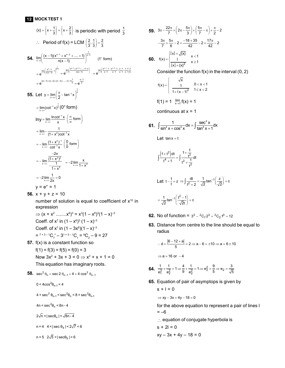$$
\{x\} + \{x + \frac{1}{3}\} + \{x + \frac{2}{3}\} \text{ is periodic with period } \frac{1}{3}
$$
\n∴ Period of  $f(x) = LCM \left(\frac{2}{3}, \frac{1}{3}\right) = \frac{2}{3}$ \n54. 
$$
\lim_{x \to \frac{\pi}{4}} \left( \frac{(x-1)(x^{n-1} + x^{n-2} + \dots + 1)}{n(x-1)} \right)^{\frac{1}{x-1}} \qquad (1^{\infty} \text{ form})
$$
\n
$$
= e^{\lim_{x \to \frac{\pi}{4}} \left( \frac{x^{n-1}}{n(x-1)} - 1 \right)^{\frac{1}{x-1}}} = e^{\lim_{x \to \frac{\pi}{4}} \left( \frac{x^{n-1} + x^{n-2} + \dots + 1}{n(x-1)} \right)} = e^{\lim_{x \to \frac{\pi}{4}} \left( \frac{x^{n-1} - 1}{x-1} + \frac{x^{n-2} - 1}{x-1} + \frac{x-1}{x-1} \right) \frac{1}{1 - 1}}
$$
\n
$$
= e^{((n-1)+(n-2)+(n-3)+\dots+2+1)\frac{1}{n}} = e^{\frac{n-1}{2}}
$$
\n55. Let  $y = \lim_{x \to \infty} \left( \frac{\pi}{2} - \tan^{-1} x \right)^{\frac{1}{x}}$ \n
$$
= \lim_{x \to \infty} (\cot^{-1} x)^{\frac{1}{x}} \left( 0^{\circ} \text{ form} \right)
$$
\n
$$
\ln y = \lim_{x \to \infty} \frac{\ln \cot^{-1} x}{x} \left( \frac{\infty}{\infty} \text{ form} \right)
$$
\n
$$
= \lim_{x \to \infty} \frac{1}{\cot^{-1} x} \left( \frac{0}{0} \text{ form} \right)
$$
\n
$$
= -\lim_{x \to \infty} \frac{\frac{-2x}{(1+x^2)^2}}{-\frac{1}{1+x^2}} = -2 \lim_{x \to \infty} \frac{x}{1+x^2}
$$
\n
$$
= -2 \lim_{x \to \infty} \frac{1}{2x} = 0
$$
\n
$$
y = e^{\circ} = 1
$$

56. 
$$
x + y + z = 10
$$

**12 MOCK TEST 1**

number of solution is equal to coefficient of  $x^{10}$  in expression

 $\Rightarrow$   $(x + x^2$  ........ $x^6)^3 = x^3(1 - x^6)^3(1 - x)^{-3}$ Coeff. of  $x^7$  in  $(1 - x^6)^3 (1 - x)^{-3}$ Coeff. of  $x^7$  in  $(1-3x^6)(1-x)^{-3}$  $=$ <sup>7+3-1</sup>C<sub>7</sub><sup>'</sup> $-$ 3<sup>1+3-1</sup>C<sub>1</sub></sub> $=$ <sup>9</sup>C<sub>2</sub> $-$ 9 = 27

**57.** f(x) is a constant function so  $f(1) = f(3) = f(5) = f(0) = 3$ 

> Now  $3x^2 + 3x + 3 = 0 \Rightarrow x^2 + x + 1 = 0$ This equation has imaginary roots.

- **58.**  $\sec^2 \theta_n = \sec 2 \theta_{n-1} + 4 + 4 \cos^2 \theta_{n-1}$ 
	- 0 < 4 $\cos^2\theta_{n-1}$  < 4

 $4 + \sec^2 \theta_{n-1} < \sec^2 \theta_n < 8 + \sec^2 \theta_{n-1}$ 

 $4n < \sec^2\theta_n < 8n - 4$ 

 $2\sqrt{n}$  <  $|\sec\theta_n|$  <  $\sqrt{8n-4}$ 

 $n = 4$  4 < | sec  $\theta_4$  | <  $2\sqrt{7}$  < 6

$$
n = 5
$$
  $2\sqrt{5} < |\sec \theta_5| < 6$ 

**59.** 
$$
3\pi - \frac{22\pi}{7} + \left(2\pi - \frac{5\pi}{3}\right) + \left(\frac{5\pi}{7} - \pi\right) + \frac{\pi}{2} - 2
$$
  
\n $-\frac{3\pi}{7} + \frac{5\pi}{6} - 2 = \frac{-18 + 35}{42} - 2 = \frac{17\pi}{42} - 2$   
\n**60.**  $f(x) = \begin{cases} \frac{[x] + \sqrt{x}}{1} & x < 1 \\ \frac{1}{[x] + \{x\}^2} & x \ge 1 \end{cases}$ 

Consider the function  $f(x)$  in the interval  $(0, 2)$ 

$$
f(x) = \begin{cases} \sqrt{x} & 0 < x < 1 \\ \frac{1}{1 + (x - 1)^2} & 1 \le x < 2 \end{cases}
$$

$$
f(1) = 1
$$
  $\lim_{x \to 1} f(x) = 1$ 

continuous at  $x = 1$ 

**61.** 
$$
\int \frac{1}{\sin^4 x + \cos^4 x} dx = \int \frac{\sec^4 x}{\tan^4 x + 1} dx
$$

Let  $tan x = t$ 

$$
\int \frac{\left(1+t^2\right)dt}{t^4+1} = \int \frac{1+\frac{1}{t^2}}{t^2+\frac{1}{t^2}}dt
$$

Let 
$$
t - \frac{1}{t} = z \Rightarrow \int \frac{dt}{t^2 + 2} = \frac{1}{\sqrt{2}} \tan^{-1} \left( \frac{z}{\sqrt{2}} \right) + c
$$

$$
=\frac{1}{\sqrt{2}}\tan^{-1}\left(\frac{t^2-1}{\sqrt{2}t}\right)+c
$$

- **62.** No of function =  $3^3 {^2C_1 \cdot 2^3} + {^2C_2 \cdot 1^3} = 12$
- **63.** Distance from centre to the line should be equal to radius

$$
\therefore d = \frac{|6 - 12 + a|}{5} = 2 \Rightarrow a - 6 = \pm 10 \Rightarrow a = 6 \pm 10
$$

$$
\Rightarrow a = 16 \text{ or } -4
$$

**64.** 
$$
\frac{1}{e_1^2} + \frac{1}{e_2^2} = 1 \Rightarrow \frac{4}{9} + \frac{1}{e_2^2} = 1 \Rightarrow e_2^2 = \frac{9}{5} \Rightarrow e_2 = \frac{3}{\sqrt{5}}
$$

**65.** Equation of pair of asymptops is given by

$$
s + 1 = 0
$$
  
\n
$$
\Rightarrow xy - 3x + 4y - 18 = 0
$$
  
\nfor the above equation to represent a pair of lines 1  
\n
$$
= -6
$$

: equation of conjugate hyperbola is

$$
s + 2I = 0
$$

$$
xy - 3x + 4y - 18 = 0
$$